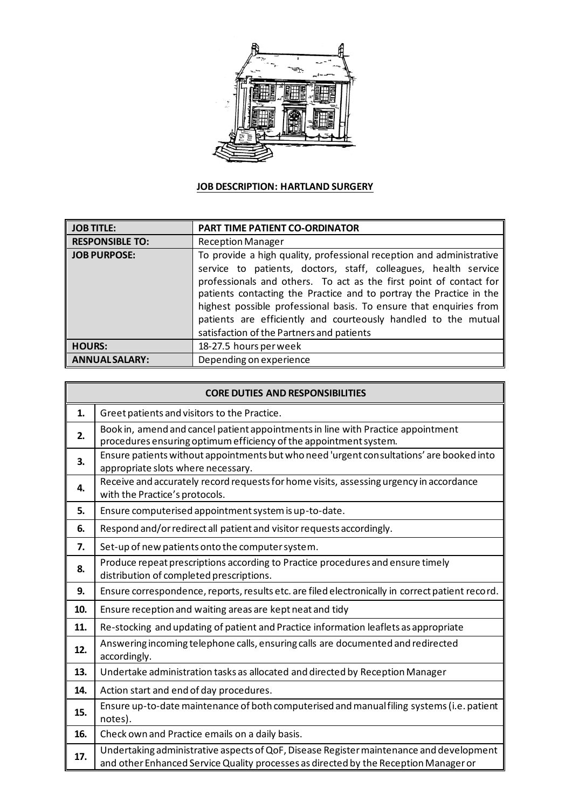

## **JOB DESCRIPTION: HARTLAND SURGERY**

| <b>JOB TITLE:</b>      | PART TIME PATIENT CO-ORDINATOR                                                                                                                                                                                                                                                                                                                                                                                                                                            |
|------------------------|---------------------------------------------------------------------------------------------------------------------------------------------------------------------------------------------------------------------------------------------------------------------------------------------------------------------------------------------------------------------------------------------------------------------------------------------------------------------------|
| <b>RESPONSIBLE TO:</b> | <b>Reception Manager</b>                                                                                                                                                                                                                                                                                                                                                                                                                                                  |
| <b>JOB PURPOSE:</b>    | To provide a high quality, professional reception and administrative<br>service to patients, doctors, staff, colleagues, health service<br>professionals and others. To act as the first point of contact for<br>patients contacting the Practice and to portray the Practice in the<br>highest possible professional basis. To ensure that enquiries from<br>patients are efficiently and courteously handled to the mutual<br>satisfaction of the Partners and patients |
| <b>HOURS:</b>          | 18-27.5 hours per week                                                                                                                                                                                                                                                                                                                                                                                                                                                    |
| <b>ANNUALSALARY:</b>   | Depending on experience                                                                                                                                                                                                                                                                                                                                                                                                                                                   |

| <b>CORE DUTIES AND RESPONSIBILITIES</b> |                                                                                                                                                                                 |  |  |  |  |
|-----------------------------------------|---------------------------------------------------------------------------------------------------------------------------------------------------------------------------------|--|--|--|--|
| 1.                                      | Greet patients and visitors to the Practice.                                                                                                                                    |  |  |  |  |
| 2.                                      | Book in, amend and cancel patient appointments in line with Practice appointment<br>procedures ensuring optimum efficiency of the appointment system.                           |  |  |  |  |
| 3.                                      | Ensure patients without appointments but who need 'urgent consultations' are booked into<br>appropriate slots where necessary.                                                  |  |  |  |  |
| 4.                                      | Receive and accurately record requests for home visits, assessing urgency in accordance<br>with the Practice's protocols.                                                       |  |  |  |  |
| 5.                                      | Ensure computerised appointment system is up-to-date.                                                                                                                           |  |  |  |  |
| 6.                                      | Respond and/or redirect all patient and visitor requests accordingly.                                                                                                           |  |  |  |  |
| 7.                                      | Set-up of new patients onto the computer system.                                                                                                                                |  |  |  |  |
| 8.                                      | Produce repeat prescriptions according to Practice procedures and ensure timely<br>distribution of completed prescriptions.                                                     |  |  |  |  |
| 9.                                      | Ensure correspondence, reports, results etc. are filed electronically in correct patient record.                                                                                |  |  |  |  |
| 10.                                     | Ensure reception and waiting areas are kept neat and tidy                                                                                                                       |  |  |  |  |
| 11.                                     | Re-stocking and updating of patient and Practice information leaflets as appropriate                                                                                            |  |  |  |  |
| 12.                                     | Answering incoming telephone calls, ensuring calls are documented and redirected<br>accordingly.                                                                                |  |  |  |  |
| 13.                                     | Undertake administration tasks as allocated and directed by Reception Manager                                                                                                   |  |  |  |  |
| 14.                                     | Action start and end of day procedures.                                                                                                                                         |  |  |  |  |
| 15.                                     | Ensure up-to-date maintenance of both computerised and manual filing systems (i.e. patient<br>notes).                                                                           |  |  |  |  |
| 16.                                     | Check own and Practice emails on a daily basis.                                                                                                                                 |  |  |  |  |
| 17.                                     | Undertaking administrative aspects of QoF, Disease Register maintenance and development<br>and other Enhanced Service Quality processes as directed by the Reception Manager or |  |  |  |  |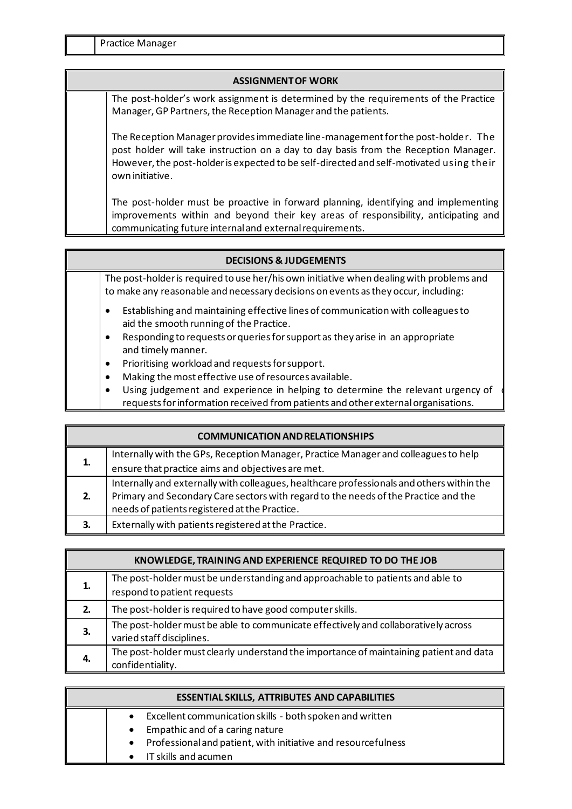## **ASSIGNMENT OF WORK**

The post-holder's work assignment is determined by the requirements of the Practice Manager, GP Partners, the Reception Manager and the patients.

The Reception Manager provides immediate line-management for the post-holder. The post holder will take instruction on a day to day basis from the Reception Manager. However, the post-holder is expected to be self-directed and self-motivated using their own initiative.

The post-holder must be proactive in forward planning, identifying and implementing improvements within and beyond their key areas of responsibility, anticipating and communicating future internal and external requirements.

| <b>DECISIONS &amp; JUDGEMENTS</b> |                                                                                                                                                                                                                           |  |
|-----------------------------------|---------------------------------------------------------------------------------------------------------------------------------------------------------------------------------------------------------------------------|--|
|                                   | The post-holder is required to use her/his own initiative when dealing with problems and<br>to make any reasonable and necessary decisions on events as they occur, including:                                            |  |
|                                   | Establishing and maintaining effective lines of communication with colleagues to<br>aid the smooth running of the Practice.<br>Responding to requests or queries for support as they arise in an appropriate<br>$\bullet$ |  |
|                                   | and timely manner.                                                                                                                                                                                                        |  |
|                                   | Prioritising workload and requests for support.<br>$\bullet$                                                                                                                                                              |  |
|                                   | Making the most effective use of resources available.<br>$\bullet$                                                                                                                                                        |  |
|                                   | Using judgement and experience in helping to determine the relevant urgency of<br>$\bullet$<br>requests for information received from patients and other external organisations.                                          |  |

| <b>COMMUNICATION AND RELATIONSHIPS</b> |                                                                                           |  |
|----------------------------------------|-------------------------------------------------------------------------------------------|--|
| 1.                                     | Internally with the GPs, Reception Manager, Practice Manager and colleagues to help       |  |
|                                        | ensure that practice aims and objectives are met.                                         |  |
| 2.                                     | Internally and externally with colleagues, healthcare professionals and others within the |  |
|                                        | Primary and Secondary Care sectors with regard to the needs of the Practice and the       |  |
|                                        | needs of patients registered at the Practice.                                             |  |
| 3.                                     | Externally with patients registered at the Practice.                                      |  |

| KNOWLEDGE, TRAINING AND EXPERIENCE REQUIRED TO DO THE JOB |                                                                                                                 |  |
|-----------------------------------------------------------|-----------------------------------------------------------------------------------------------------------------|--|
| 1.                                                        | The post-holder must be understanding and approachable to patients and able to<br>respond to patient requests   |  |
| 2.                                                        | The post-holder is required to have good computer skills.                                                       |  |
| З.                                                        | The post-holder must be able to communicate effectively and collaboratively across<br>varied staff disciplines. |  |
| 4.                                                        | The post-holder must clearly understand the importance of maintaining patient and data<br>confidentiality.      |  |

| <b>ESSENTIAL SKILLS, ATTRIBUTES AND CAPABILITIES</b> |  |                                                                 |
|------------------------------------------------------|--|-----------------------------------------------------------------|
|                                                      |  | • Excellent communication skills - both spoken and written      |
|                                                      |  | • Empathic and of a caring nature                               |
|                                                      |  | • Professional and patient, with initiative and resourcefulness |
|                                                      |  | • IT skills and acumen                                          |